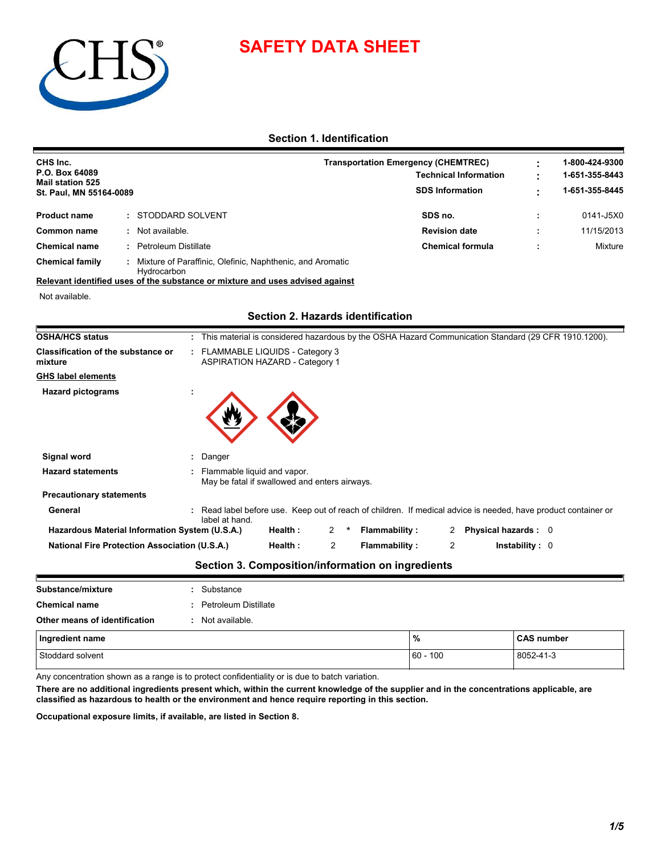

## **SAFETY DATA SHEET**

**Section 1. Identification**

| CHS Inc.                                                                                                |                             |                                                                                |                                          |                | <b>Transportation Emergency (CHEMTREC)</b>                                                                     |                        |                              |  | 1-800-424-9300 |
|---------------------------------------------------------------------------------------------------------|-----------------------------|--------------------------------------------------------------------------------|------------------------------------------|----------------|----------------------------------------------------------------------------------------------------------------|------------------------|------------------------------|--|----------------|
| P.O. Box 64089<br><b>Mail station 525</b>                                                               |                             |                                                                                |                                          |                |                                                                                                                |                        | <b>Technical Information</b> |  | 1-651-355-8443 |
| St. Paul, MN 55164-0089                                                                                 |                             |                                                                                |                                          |                |                                                                                                                | <b>SDS Information</b> |                              |  | 1-651-355-8445 |
| <b>Product name</b>                                                                                     | STODDARD SOLVENT            |                                                                                |                                          |                |                                                                                                                | SDS no.                |                              |  | 0141-J5X0      |
| <b>Common name</b>                                                                                      | Not available.              |                                                                                |                                          |                |                                                                                                                | <b>Revision date</b>   |                              |  | 11/15/2013     |
| <b>Chemical name</b>                                                                                    | <b>Petroleum Distillate</b> |                                                                                |                                          |                |                                                                                                                |                        | <b>Chemical formula</b>      |  | Mixture        |
| <b>Chemical family</b><br>Relevant identified uses of the substance or mixture and uses advised against | Hydrocarbon                 | Mixture of Paraffinic, Olefinic, Naphthenic, and Aromatic                      |                                          |                |                                                                                                                |                        |                              |  |                |
| Not available.                                                                                          |                             |                                                                                |                                          |                |                                                                                                                |                        |                              |  |                |
|                                                                                                         |                             |                                                                                |                                          |                |                                                                                                                |                        |                              |  |                |
|                                                                                                         |                             |                                                                                | <b>Section 2. Hazards identification</b> |                |                                                                                                                |                        |                              |  |                |
| <b>OSHA/HCS status</b>                                                                                  |                             |                                                                                |                                          |                | : This material is considered hazardous by the OSHA Hazard Communication Standard (29 CFR 1910.1200).          |                        |                              |  |                |
| <b>Classification of the substance or</b><br>mixture                                                    |                             | : FLAMMABLE LIQUIDS - Category 3<br><b>ASPIRATION HAZARD - Category 1</b>      |                                          |                |                                                                                                                |                        |                              |  |                |
| <b>GHS label elements</b>                                                                               |                             |                                                                                |                                          |                |                                                                                                                |                        |                              |  |                |
| <b>Hazard pictograms</b>                                                                                |                             |                                                                                |                                          |                |                                                                                                                |                        |                              |  |                |
| Signal word                                                                                             |                             | Danger                                                                         |                                          |                |                                                                                                                |                        |                              |  |                |
| <b>Hazard statements</b>                                                                                |                             | : Flammable liquid and vapor.<br>May be fatal if swallowed and enters airways. |                                          |                |                                                                                                                |                        |                              |  |                |
| <b>Precautionary statements</b>                                                                         |                             |                                                                                |                                          |                |                                                                                                                |                        |                              |  |                |
| General                                                                                                 |                             | label at hand.                                                                 |                                          |                | : Read label before use. Keep out of reach of children. If medical advice is needed, have product container or |                        |                              |  |                |
| Hazardous Material Information System (U.S.A.)                                                          |                             |                                                                                | Health:                                  | 2              | <b>Flammability:</b>                                                                                           | 2                      | Physical hazards: 0          |  |                |
| <b>National Fire Protection Association (U.S.A.)</b>                                                    |                             |                                                                                | Health:                                  | $\overline{c}$ | <b>Flammability:</b>                                                                                           | $\overline{2}$         | Instability: 0               |  |                |
|                                                                                                         |                             |                                                                                |                                          |                | Section 3. Composition/information on ingredients                                                              |                        |                              |  |                |
| Substance/mixture                                                                                       |                             | Substance                                                                      |                                          |                |                                                                                                                |                        |                              |  |                |

| Stoddard solvent              |                      | $60 - 100$ | 8052-41-3         |
|-------------------------------|----------------------|------------|-------------------|
| Ingredient name               |                      | %          | <b>CAS number</b> |
| Other means of identification | Not available.       |            |                   |
| <b>Chemical name</b>          | Petroleum Distillate |            |                   |
| Substance/mixture             | Substance            |            |                   |

Any concentration shown as a range is to protect confidentiality or is due to batch variation.

**There are no additional ingredients present which, within the current knowledge of the supplier and in the concentrations applicable, are classified as hazardous to health or the environment and hence require reporting in this section.**

**Occupational exposure limits, if available, are listed in Section 8.**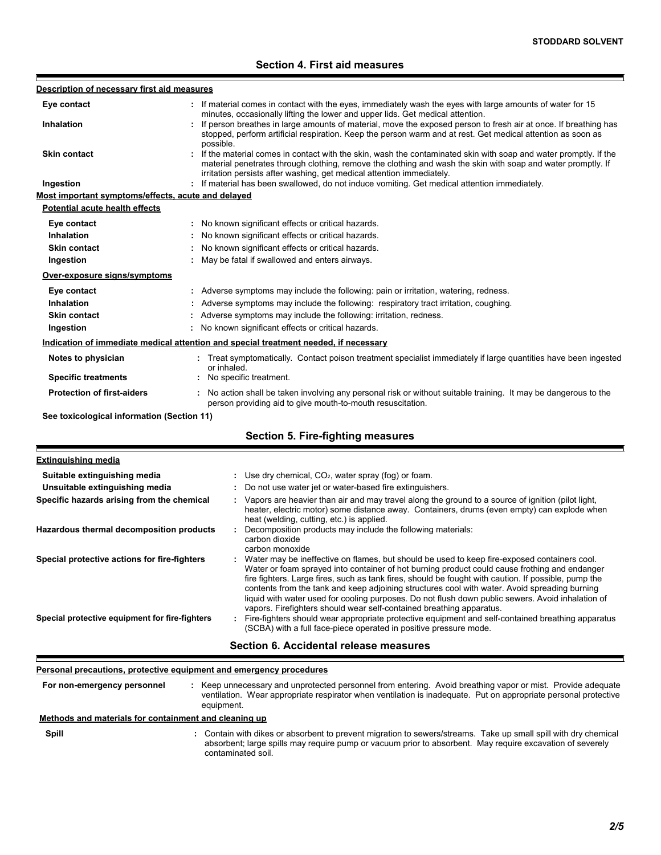## **Section 4. First aid measures**

| Description of necessary first aid measures                                                    |                                                                                                                                                                                                                                                                                                                                                                                                                                                                                                                                                                                                                                                                                                                                                               |
|------------------------------------------------------------------------------------------------|---------------------------------------------------------------------------------------------------------------------------------------------------------------------------------------------------------------------------------------------------------------------------------------------------------------------------------------------------------------------------------------------------------------------------------------------------------------------------------------------------------------------------------------------------------------------------------------------------------------------------------------------------------------------------------------------------------------------------------------------------------------|
| Eye contact                                                                                    | : If material comes in contact with the eyes, immediately wash the eyes with large amounts of water for 15                                                                                                                                                                                                                                                                                                                                                                                                                                                                                                                                                                                                                                                    |
| Inhalation                                                                                     | minutes, occasionally lifting the lower and upper lids. Get medical attention.<br>If person breathes in large amounts of material, move the exposed person to fresh air at once. If breathing has<br>stopped, perform artificial respiration. Keep the person warm and at rest. Get medical attention as soon as<br>possible.                                                                                                                                                                                                                                                                                                                                                                                                                                 |
| <b>Skin contact</b>                                                                            | : If the material comes in contact with the skin, wash the contaminated skin with soap and water promptly. If the<br>material penetrates through clothing, remove the clothing and wash the skin with soap and water promptly. If<br>irritation persists after washing, get medical attention immediately.                                                                                                                                                                                                                                                                                                                                                                                                                                                    |
| Ingestion                                                                                      | : If material has been swallowed, do not induce vomiting. Get medical attention immediately.                                                                                                                                                                                                                                                                                                                                                                                                                                                                                                                                                                                                                                                                  |
| Most important symptoms/effects, acute and delayed                                             |                                                                                                                                                                                                                                                                                                                                                                                                                                                                                                                                                                                                                                                                                                                                                               |
| <b>Potential acute health effects</b>                                                          |                                                                                                                                                                                                                                                                                                                                                                                                                                                                                                                                                                                                                                                                                                                                                               |
| Eye contact                                                                                    | : No known significant effects or critical hazards.                                                                                                                                                                                                                                                                                                                                                                                                                                                                                                                                                                                                                                                                                                           |
| Inhalation                                                                                     | : No known significant effects or critical hazards.                                                                                                                                                                                                                                                                                                                                                                                                                                                                                                                                                                                                                                                                                                           |
| <b>Skin contact</b>                                                                            | : No known significant effects or critical hazards.                                                                                                                                                                                                                                                                                                                                                                                                                                                                                                                                                                                                                                                                                                           |
| Ingestion                                                                                      | : May be fatal if swallowed and enters airways.                                                                                                                                                                                                                                                                                                                                                                                                                                                                                                                                                                                                                                                                                                               |
| Over-exposure signs/symptoms                                                                   |                                                                                                                                                                                                                                                                                                                                                                                                                                                                                                                                                                                                                                                                                                                                                               |
| Eye contact                                                                                    | : Adverse symptoms may include the following: pain or irritation, watering, redness.                                                                                                                                                                                                                                                                                                                                                                                                                                                                                                                                                                                                                                                                          |
| Inhalation                                                                                     | : Adverse symptoms may include the following: respiratory tract irritation, coughing.                                                                                                                                                                                                                                                                                                                                                                                                                                                                                                                                                                                                                                                                         |
| <b>Skin contact</b>                                                                            | : Adverse symptoms may include the following: irritation, redness.                                                                                                                                                                                                                                                                                                                                                                                                                                                                                                                                                                                                                                                                                            |
| Ingestion                                                                                      | : No known significant effects or critical hazards.                                                                                                                                                                                                                                                                                                                                                                                                                                                                                                                                                                                                                                                                                                           |
|                                                                                                | Indication of immediate medical attention and special treatment needed, if necessary                                                                                                                                                                                                                                                                                                                                                                                                                                                                                                                                                                                                                                                                          |
| Notes to physician                                                                             | : Treat symptomatically. Contact poison treatment specialist immediately if large quantities have been ingested<br>or inhaled.                                                                                                                                                                                                                                                                                                                                                                                                                                                                                                                                                                                                                                |
| <b>Specific treatments</b>                                                                     | : No specific treatment.                                                                                                                                                                                                                                                                                                                                                                                                                                                                                                                                                                                                                                                                                                                                      |
| <b>Protection of first-aiders</b>                                                              | No action shall be taken involving any personal risk or without suitable training. It may be dangerous to the<br>person providing aid to give mouth-to-mouth resuscitation.                                                                                                                                                                                                                                                                                                                                                                                                                                                                                                                                                                                   |
| See toxicological information (Section 11)                                                     |                                                                                                                                                                                                                                                                                                                                                                                                                                                                                                                                                                                                                                                                                                                                                               |
|                                                                                                | <b>Section 5. Fire-fighting measures</b>                                                                                                                                                                                                                                                                                                                                                                                                                                                                                                                                                                                                                                                                                                                      |
| <b>Extinguishing media</b>                                                                     |                                                                                                                                                                                                                                                                                                                                                                                                                                                                                                                                                                                                                                                                                                                                                               |
| Suitable extinguishing media                                                                   | : Use dry chemical, $CO2$ , water spray (fog) or foam.                                                                                                                                                                                                                                                                                                                                                                                                                                                                                                                                                                                                                                                                                                        |
| Unsuitable extinguishing media                                                                 | Do not use water jet or water-based fire extinguishers.                                                                                                                                                                                                                                                                                                                                                                                                                                                                                                                                                                                                                                                                                                       |
| Specific hazards arising from the chemical                                                     | : Vapors are heavier than air and may travel along the ground to a source of ignition (pilot light,<br>heater, electric motor) some distance away. Containers, drums (even empty) can explode when<br>heat (welding, cutting, etc.) is applied.                                                                                                                                                                                                                                                                                                                                                                                                                                                                                                               |
| Hazardous thermal decomposition products                                                       | Decomposition products may include the following materials:<br>carbon dioxide<br>carbon monoxide                                                                                                                                                                                                                                                                                                                                                                                                                                                                                                                                                                                                                                                              |
| Special protective actions for fire-fighters<br>Special protective equipment for fire-fighters | Water may be ineffective on flames, but should be used to keep fire-exposed containers cool.<br>Water or foam sprayed into container of hot burning product could cause frothing and endanger<br>fire fighters. Large fires, such as tank fires, should be fought with caution. If possible, pump the<br>contents from the tank and keep adjoining structures cool with water. Avoid spreading burning<br>liquid with water used for cooling purposes. Do not flush down public sewers. Avoid inhalation of<br>vapors. Firefighters should wear self-contained breathing apparatus.<br>Fire-fighters should wear appropriate protective equipment and self-contained breathing apparatus<br>(SCBA) with a full face-piece operated in positive pressure mode. |
|                                                                                                | Section 6. Accidental release measures                                                                                                                                                                                                                                                                                                                                                                                                                                                                                                                                                                                                                                                                                                                        |

#### **Personal precautions, protective equipment and emergency procedures**

**:** Keep unnecessary and unprotected personnel from entering. Avoid breathing vapor or mist. Provide adequate ventilation. Wear appropriate respirator when ventilation is inadequate. Put on appropriate personal protective equipment. **For non-emergency personnel**

#### **: Methods and materials for containment and cleaning up**

**Spill**

F

Contain with dikes or absorbent to prevent migration to sewers/streams. Take up small spill with dry chemical absorbent; large spills may require pump or vacuum prior to absorbent. May require excavation of severely contaminated soil.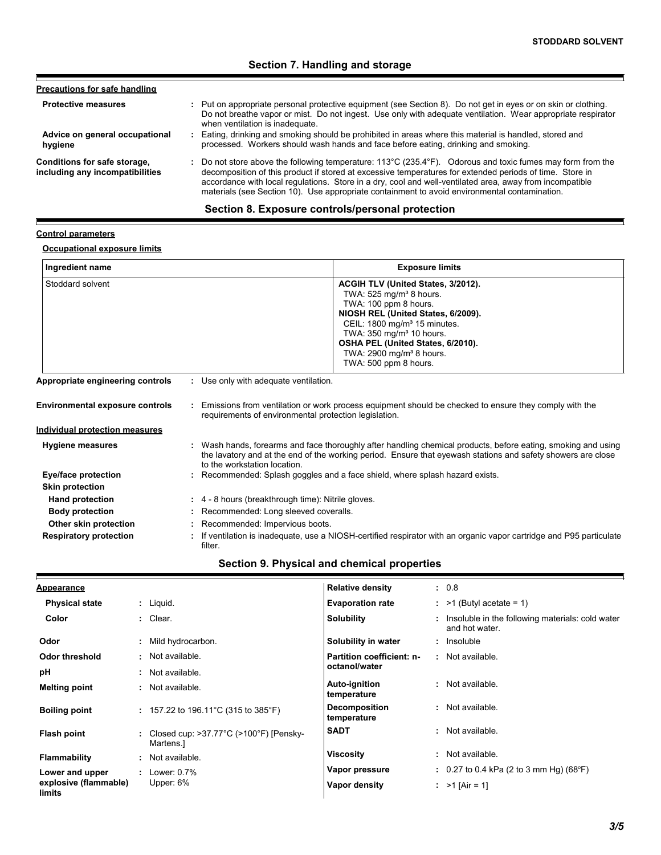## **Section 7. Handling and storage**

| Precautions for safe handling                                   |                                                                                                                                                                                                                                                                                                                                                                                                                                                          |
|-----------------------------------------------------------------|----------------------------------------------------------------------------------------------------------------------------------------------------------------------------------------------------------------------------------------------------------------------------------------------------------------------------------------------------------------------------------------------------------------------------------------------------------|
| <b>Protective measures</b>                                      | : Put on appropriate personal protective equipment (see Section 8). Do not get in eyes or on skin or clothing.<br>Do not breathe vapor or mist. Do not ingest. Use only with adequate ventilation. Wear appropriate respirator<br>when ventilation is inadequate.                                                                                                                                                                                        |
| Advice on general occupational<br>hygiene                       | : Eating, drinking and smoking should be prohibited in areas where this material is handled, stored and<br>processed. Workers should wash hands and face before eating, drinking and smoking.                                                                                                                                                                                                                                                            |
| Conditions for safe storage,<br>including any incompatibilities | : Do not store above the following temperature: $113^{\circ}$ C (235.4 $^{\circ}$ F). Odorous and toxic fumes may form from the<br>decomposition of this product if stored at excessive temperatures for extended periods of time. Store in<br>accordance with local regulations. Store in a dry, cool and well-ventilated area, away from incompatible<br>materials (see Section 10). Use appropriate containment to avoid environmental contamination. |

## **Section 8. Exposure controls/personal protection**

### **Control parameters**

E

## **Occupational exposure limits**

| Ingredient name                        | <b>Exposure limits</b>                                                                                                                                                                                                                                                                                                              |
|----------------------------------------|-------------------------------------------------------------------------------------------------------------------------------------------------------------------------------------------------------------------------------------------------------------------------------------------------------------------------------------|
| Stoddard solvent                       | ACGIH TLV (United States, 3/2012).<br>TWA: $525$ mg/m <sup>3</sup> 8 hours.<br>TWA: 100 ppm 8 hours.<br>NIOSH REL (United States, 6/2009).<br>CEIL: $1800 \text{ mg/m}^3$ 15 minutes.<br>TWA: 350 mg/m <sup>3</sup> 10 hours.<br>OSHA PEL (United States, 6/2010).<br>TWA: 2900 mg/m <sup>3</sup> 8 hours.<br>TWA: 500 ppm 8 hours. |
| Appropriate engineering controls       | : Use only with adequate ventilation.                                                                                                                                                                                                                                                                                               |
| <b>Environmental exposure controls</b> | : Emissions from ventilation or work process equipment should be checked to ensure they comply with the<br>requirements of environmental protection legislation.                                                                                                                                                                    |
| <b>Individual protection measures</b>  |                                                                                                                                                                                                                                                                                                                                     |
| <b>Hygiene measures</b>                | : Wash hands, forearms and face thoroughly after handling chemical products, before eating, smoking and using<br>the lavatory and at the end of the working period. Ensure that eyewash stations and safety showers are close<br>to the workstation location.                                                                       |
| Eye/face protection                    | : Recommended: Splash goggles and a face shield, where splash hazard exists.                                                                                                                                                                                                                                                        |
| <b>Skin protection</b>                 |                                                                                                                                                                                                                                                                                                                                     |
| <b>Hand protection</b>                 | : 4 - 8 hours (breakthrough time): Nitrile gloves.                                                                                                                                                                                                                                                                                  |
| <b>Body protection</b>                 | : Recommended: Long sleeved coveralls.                                                                                                                                                                                                                                                                                              |
| Other skin protection                  | : Recommended: Impervious boots.                                                                                                                                                                                                                                                                                                    |
| <b>Respiratory protection</b>          | : If ventilation is inadequate, use a NIOSH-certified respirator with an organic vapor cartridge and P95 particulate                                                                                                                                                                                                                |

## **Section 9. Physical and chemical properties**

filter.

| <b>Appearance</b>               |    |                                                                         | <b>Relative density</b>             | : 0.8                                                                |
|---------------------------------|----|-------------------------------------------------------------------------|-------------------------------------|----------------------------------------------------------------------|
| <b>Physical state</b>           |    | $:$ Liquid.                                                             | <b>Evaporation rate</b>             | $:$ >1 (Butyl acetate = 1)                                           |
| Color                           |    | : Clear.                                                                | <b>Solubility</b>                   | : Insoluble in the following materials: cold water<br>and hot water. |
| Odor                            |    | : Mild hydrocarbon.                                                     | Solubility in water                 | : Insoluble                                                          |
| Odor threshold                  |    | : Not available.                                                        | <b>Partition coefficient: n-</b>    | : Not available.                                                     |
| рH                              |    | : Not available.                                                        | octanol/water                       |                                                                      |
| <b>Melting point</b>            |    | : Not available.                                                        | <b>Auto-ignition</b><br>temperature | : Not available.                                                     |
| <b>Boiling point</b>            |    | : 157.22 to 196.11 °C (315 to 385 °F)                                   | Decomposition<br>temperature        | : Not available.                                                     |
| Flash point                     |    | Closed cup: $>37.77^{\circ}$ C ( $>100^{\circ}$ F) [Pensky-<br>Martens. | <b>SADT</b>                         | : Not available.                                                     |
| <b>Flammability</b>             | ÷. | Not available.                                                          | Viscosity                           | : Not available.                                                     |
| Lower and upper                 |    | : Lower: $0.7\%$                                                        | Vapor pressure                      | $\pm$ 0.27 to 0.4 kPa (2 to 3 mm Hg) (68°F)                          |
| explosive (flammable)<br>limits |    | Upper: $6\%$                                                            | Vapor density                       | : $>1$ [Air = 1]                                                     |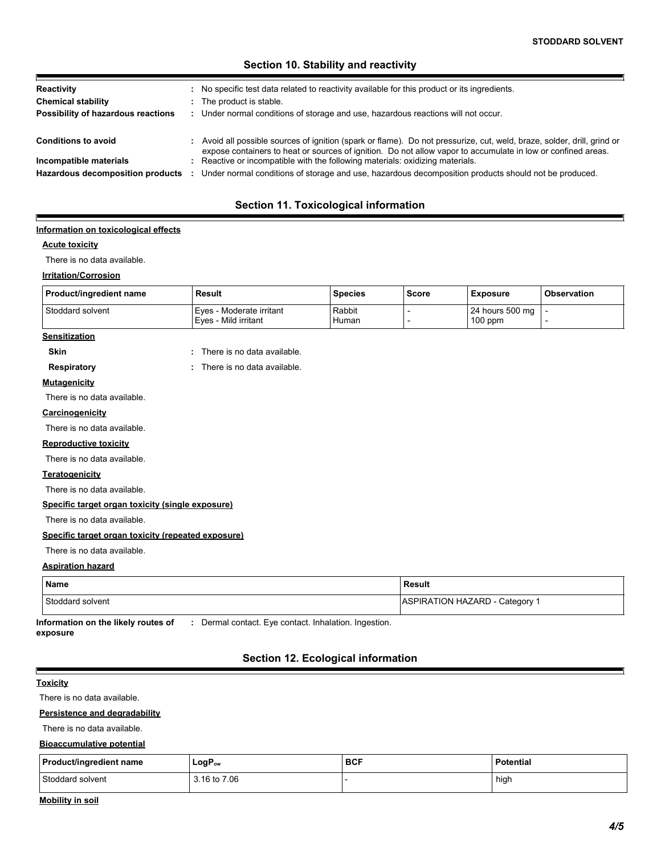## **Section 10. Stability and reactivity**

| Reactivity<br><b>Chemical stability</b><br>Possibility of hazardous reactions | : No specific test data related to reactivity available for this product or its ingredients.<br>The product is stable.<br>: Under normal conditions of storage and use, hazardous reactions will not occur.                             |
|-------------------------------------------------------------------------------|-----------------------------------------------------------------------------------------------------------------------------------------------------------------------------------------------------------------------------------------|
| <b>Conditions to avoid</b>                                                    | : Avoid all possible sources of ignition (spark or flame). Do not pressurize, cut, weld, braze, solder, drill, grind or<br>expose containers to heat or sources of ignition. Do not allow vapor to accumulate in low or confined areas. |
| Incompatible materials<br>Hazardous decomposition products                    | : Reactive or incompatible with the following materials: oxidizing materials.<br>Under normal conditions of storage and use, hazardous decomposition products should not be produced.                                                   |

## **Section 11. Toxicological information**

#### **Information on toxicological effects**

#### **Acute toxicity**

Е

There is no data available.

#### **Irritation/Corrosion**

| Product/ingredient name | <b>Result</b>                                    | <b>Species</b>  | Score | <b>Exposure</b>              | <b>Observation</b> |
|-------------------------|--------------------------------------------------|-----------------|-------|------------------------------|--------------------|
| Stoddard solvent        | Eyes - Moderate irritant<br>Eves - Mild irritant | Rabbit<br>Human |       | 24 hours 500 mg<br>$100$ ppm |                    |
| <b>Sensitization</b>    |                                                  |                 |       |                              |                    |

**Skin :** There is no data available.

**Respiratory :** There is no data available. There is no data available.

#### **Mutagenicity**

There is no data available.

#### **Carcinogenicity**

There is no data available.

#### **Reproductive toxicity**

There is no data available.

#### **Teratogenicity**

There is no data available.

#### **Specific target organ toxicity (single exposure)**

There is no data available.

#### **Specific target organ toxicity (repeated exposure)**

#### There is no data available.

#### **Aspiration hazard**

| <b>Name</b>      | Result                       |  |  |
|------------------|------------------------------|--|--|
| Stoddard solvent | ASPIRATION HAZARD - Category |  |  |

**Information on the likely routes of :** Dermal contact. Eye contact. Inhalation. Ingestion. **exposure**

## **Section 12. Ecological information**

#### **Toxicity**

 $\blacksquare$ 

There is no data available.

#### **Persistence and degradability**

There is no data available.

#### **Bioaccumulative potential**

| <b>Product/ingredient name</b> | LogP <sub>ow</sub> | <b>BCF</b> | <b>Potential</b> |
|--------------------------------|--------------------|------------|------------------|
| Stoddard solvent               | 3.16 to 7.06       |            | high             |

#### **Mobility in soil**